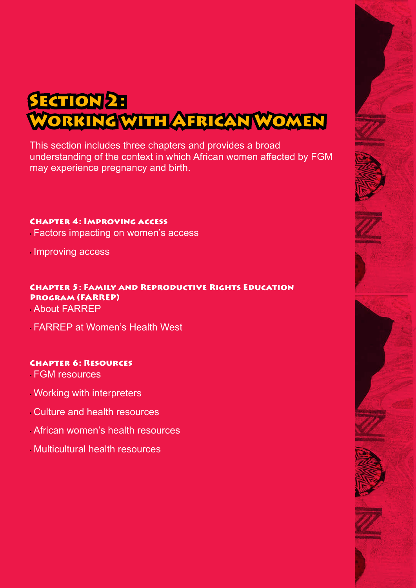# **SECTION 2:** Working with African Women

This section includes three chapters and provides a broad understanding of the context in which African women affected by FGM may experience pregnancy and birth.

# Chapter 4: Improving access

- Factors impacting on women's access
- Improving access

# Chapter 5: Family and Reproductive Rights Education Program (FARREP)

• About FARREP

• FARREP at Women's Health West

# Chapter 6: Resources

- FGM resources
- Working with interpreters
- Culture and health resources
- African women's health resources
- Multicultural health resources



SECTION 2: Working With African Women • Mama and Nunu 2 21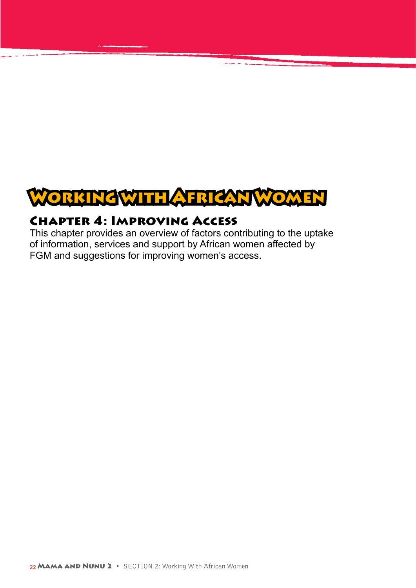

# Chapter 4: Improving Access

This chapter provides an overview of factors contributing to the uptake of information, services and support by African women affected by FGM and suggestions for improving women's access.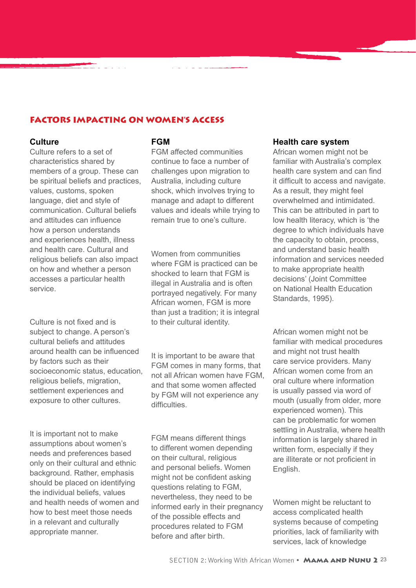### FACTORS IMPACTING ON WOMEN'S ACCESS

**en andre de la componentation de la componentation de la componentation de la componentation de la componenta</u><br>La componentation de la componentation de la componentation de la componentation de la componentation de la co** 

#### **Culture**

Culture refers to a set of characteristics shared by members of a group. These can be spiritual beliefs and practices, values, customs, spoken language, diet and style of communication. Cultural beliefs and attitudes can influence how a person understands and experiences health, illness and health care. Cultural and religious beliefs can also impact on how and whether a person accesses a particular health service.

Culture is not fixed and is subject to change. A person's cultural beliefs and attitudes around health can be influenced by factors such as their socioeconomic status, education, religious beliefs, migration, settlement experiences and exposure to other cultures.

It is important not to make assumptions about women's needs and preferences based only on their cultural and ethnic background. Rather, emphasis should be placed on identifying the individual beliefs, values and health needs of women and how to best meet those needs in a relevant and culturally appropriate manner.

#### **FGM**

FGM affected communities continue to face a number of challenges upon migration to Australia, including culture shock, which involves trying to manage and adapt to different values and ideals while trying to remain true to one's culture.

Women from communities where FGM is practiced can be shocked to learn that FGM is illegal in Australia and is often portrayed negatively. For many African women, FGM is more than just a tradition; it is integral to their cultural identity.

# It is important to be aware that FGM comes in many forms, that not all African women have FGM,

and that some women affected by FGM will not experience any difficulties

FGM means different things to different women depending on their cultural, religious and personal beliefs. Women might not be confident asking questions relating to FGM, nevertheless, they need to be informed early in their pregnancy of the possible effects and procedures related to FGM before and after birth.

#### **Health care system**

African women might not be familiar with Australia's complex health care system and can find it difficult to access and navigate. As a result, they might feel overwhelmed and intimidated. This can be attributed in part to low health literacy, which is 'the degree to which individuals have the capacity to obtain, process, and understand basic health information and services needed to make appropriate health decisions' (Joint Committee on National Health Education Standards, 1995).

African women might not be familiar with medical procedures and might not trust health care service providers. Many African women come from an oral culture where information is usually passed via word of mouth (usually from older, more experienced women). This can be problematic for women settling in Australia, where health information is largely shared in written form, especially if they are illiterate or not proficient in English.

Women might be reluctant to access complicated health systems because of competing priorities, lack of familiarity with services, lack of knowledge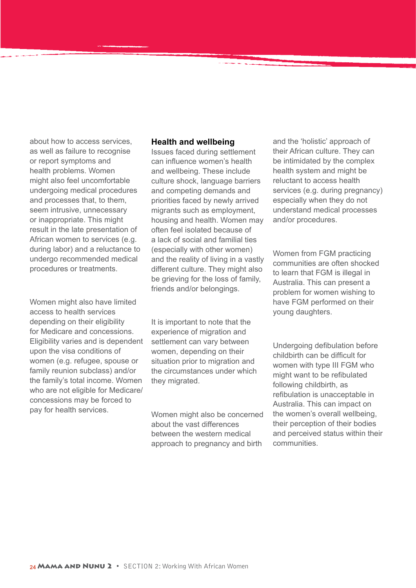about how to access services, as well as failure to recognise or report symptoms and health problems. Women might also feel uncomfortable undergoing medical procedures and processes that, to them, seem intrusive, unnecessary or inappropriate. This might result in the late presentation of African women to services (e.g. during labor) and a reluctance to undergo recommended medical procedures or treatments.

Women might also have limited access to health services depending on their eligibility for Medicare and concessions. Eligibility varies and is dependent upon the visa conditions of women (e.g. refugee, spouse or family reunion subclass) and/or the family's total income. Women who are not eligible for Medicare/ concessions may be forced to pay for health services.

#### **Health and wellbeing**

Issues faced during settlement can influence women's health and wellbeing. These include culture shock, language barriers and competing demands and priorities faced by newly arrived migrants such as employment, housing and health. Women may often feel isolated because of a lack of social and familial ties (especially with other women) and the reality of living in a vastly different culture. They might also be grieving for the loss of family, friends and/or belongings.

It is important to note that the experience of migration and settlement can vary between women, depending on their situation prior to migration and the circumstances under which they migrated.

Women might also be concerned about the vast differences between the western medical approach to pregnancy and birth

and the 'holistic' approach of their African culture. They can be intimidated by the complex health system and might be reluctant to access health services (e.g. during pregnancy) especially when they do not understand medical processes and/or procedures.

Women from FGM practicing communities are often shocked to learn that FGM is illegal in Australia. This can present a problem for women wishing to have FGM performed on their young daughters.

Undergoing defibulation before childbirth can be difficult for women with type III FGM who might want to be refibulated following childbirth, as refibulation is unacceptable in Australia. This can impact on the women's overall wellbeing, their perception of their bodies and perceived status within their communities.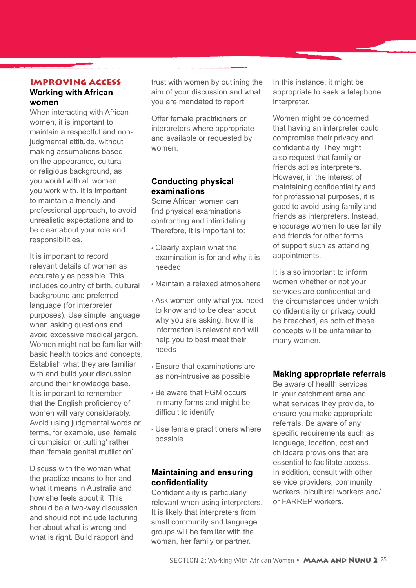# IMPROVING ACCESS

<u>a shekarar 1988 - An</u>

#### **Working with African women**

When interacting with African women, it is important to maintain a respectful and nonjudgmental attitude, without making assumptions based on the appearance, cultural or religious background, as you would with all women you work with. It is important to maintain a friendly and professional approach, to avoid unrealistic expectations and to be clear about your role and responsibilities.

It is important to record relevant details of women as accurately as possible. This includes country of birth, cultural background and preferred language (for interpreter purposes). Use simple language when asking questions and avoid excessive medical jargon. Women might not be familiar with basic health topics and concepts. Establish what they are familiar with and build your discussion around their knowledge base. It is important to remember that the English proficiency of women will vary considerably. Avoid using judgmental words or terms, for example, use 'female circumcision or cutting' rather than 'female genital mutilation'.

Discuss with the woman what the practice means to her and what it means in Australia and how she feels about it. This should be a two-way discussion and should not include lecturing her about what is wrong and what is right. Build rapport and

trust with women by outlining the aim of your discussion and what you are mandated to report.

<u>المستخدمات المستخدمات المستخدمات المستخدمات المستخدمات المستخدمات المستخدمات المستخدمات المستخدمات المستخدمات ا</u>

Offer female practitioners or interpreters where appropriate and available or requested by women.

### **Conducting physical examinations**

Some African women can find physical examinations confronting and intimidating. Therefore, it is important to:

- Clearly explain what the examination is for and why it is needed
- Maintain a relaxed atmosphere
- Ask women only what you need to know and to be clear about why you are asking, how this information is relevant and will help you to best meet their needs
- Ensure that examinations are as non-intrusive as possible
- Be aware that FGM occurs in many forms and might be difficult to identify
- Use female practitioners where possible

### **Maintaining and ensuring confidentiality**

Confidentiality is particularly relevant when using interpreters. It is likely that interpreters from small community and language groups will be familiar with the woman, her family or partner.

In this instance, it might be appropriate to seek a telephone interpreter.

Women might be concerned that having an interpreter could compromise their privacy and confidentiality. They might also request that family or friends act as interpreters. However, in the interest of maintaining confidentiality and for professional purposes, it is good to avoid using family and friends as interpreters. Instead, encourage women to use family and friends for other forms of support such as attending appointments.

It is also important to inform women whether or not your services are confidential and the circumstances under which confidentiality or privacy could be breached, as both of these concepts will be unfamiliar to many women.

### **Making appropriate referrals**

Be aware of health services in your catchment area and what services they provide, to ensure you make appropriate referrals. Be aware of any specific requirements such as language, location, cost and childcare provisions that are essential to facilitate access. In addition, consult with other service providers, community workers, bicultural workers and/ or FARREP workers.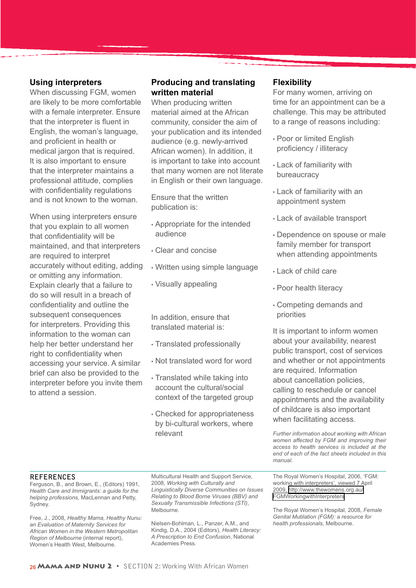#### **Using interpreters**

When discussing FGM, women are likely to be more comfortable with a female interpreter. Ensure that the interpreter is fluent in English, the woman's language, and proficient in health or medical jargon that is required. It is also important to ensure that the interpreter maintains a professional attitude, complies with confidentiality regulations and is not known to the woman.

When using interpreters ensure that you explain to all women that confidentiality will be maintained, and that interpreters are required to interpret accurately without editing, adding or omitting any information. Explain clearly that a failure to do so will result in a breach of confidentiality and outline the subsequent consequences for interpreters. Providing this information to the woman can help her better understand her right to confidentiality when accessing your service. A similar brief can also be provided to the interpreter before you invite them to attend a session.

#### **Producing and translating written material**

When producing written material aimed at the African community, consider the aim of your publication and its intended audience (e.g. newly-arrived African women). In addition, it is important to take into account that many women are not literate in English or their own language.

Ensure that the written publication is:

- Appropriate for the intended audience
- Clear and concise
- Written using simple language
- Visually appealing

In addition, ensure that translated material is:

- Translated professionally
- Not translated word for word
- Translated while taking into account the cultural/social context of the targeted group
- Checked for appropriateness by bi-cultural workers, where relevant

#### **Flexibility**

For many women, arriving on time for an appointment can be a challenge. This may be attributed to a range of reasons including:

- Poor or limited English proficiency / illiteracy
- Lack of familiarity with bureaucracy
- Lack of familiarity with an appointment system
- Lack of available transport
- Dependence on spouse or male family member for transport when attending appointments
- Lack of child care
- Poor health literacy
- Competing demands and priorities

It is important to inform women about your availability, nearest public transport, cost of services and whether or not appointments are required. Information about cancellation policies, calling to reschedule or cancel appointments and the availability of childcare is also important when facilitating access.

*Further information about working with African women affected by FGM and improving their access to health services is included at the end of each of the fact sheets included in this manual.* 

#### **REFERENCES**

Ferguson, B., and Brown, E., (Editors) 1991, *Health Care and Immigrants: a guide for the helping professions*, MacLennan and Petty, Sydney.

Free, J., 2008, *Healthy Mama, Healthy Nunu: an Evaluation of Maternity Services for African Women in the Western Metropolitan Region of Melbourne* (internal report), Women's Health West, Melbourne.

Multicultural Health and Support Service, 2008, *Working with Culturally and Linguistically Diverse Communities on Issues Relating to Blood Borne Viruses (BBV) and Sexually Transmissible Infections (STI)*, Melbourne.

Nielsen-Bohlman, L., Panzer, A.M., and Kindig, D.A., 2004 (Editors), *Health Literacy: A Prescription to End Confusion*, National Academies Press.

The Royal Women's Hospital, 2006, 'FGM: working with interpreters', viewed 7 April 2009, [http://www.thewomens.org.au/](http://www.thewomens.org.au/FGMWorkingwithInterpreters) [FGMWorkingwithInterpreters](http://www.thewomens.org.au/FGMWorkingwithInterpreters)

The Royal Women's Hospital, 2008, *Female Genital Mutilation (FGM): a resource for health professionals*, Melbourne.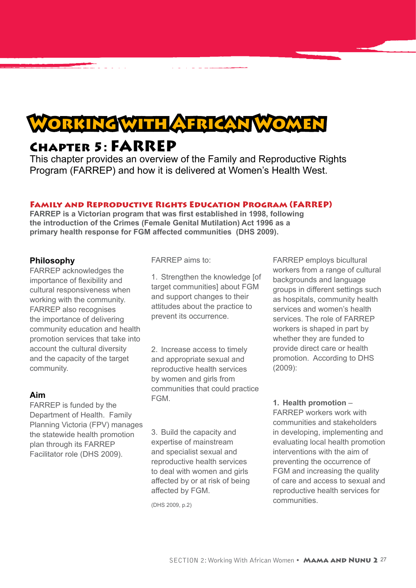

# Chapter 5: FARREP

This chapter provides an overview of the Family and Reproductive Rights Program (FARREP) and how it is delivered at Women's Health West.

#### Family and Reproductive Rights Education Program (FARREP)

**FARREP is a Victorian program that was first established in 1998, following the introduction of the Crimes (Female Genital Mutilation) Act 1996 as a primary health response for FGM affected communities (DHS 2009).** 

#### **Philosophy**

FARREP acknowledges the importance of flexibility and cultural responsiveness when working with the community. FARREP also recognises the importance of delivering community education and health promotion services that take into account the cultural diversity and the capacity of the target community.

#### **Aim**

FARREP is funded by the Department of Health. Family Planning Victoria (FPV) manages the statewide health promotion plan through its FARREP Facilitator role (DHS 2009).

FARREP aims to:

1. Strengthen the knowledge [of target communities] about FGM and support changes to their attitudes about the practice to prevent its occurrence.

2. Increase access to timely and appropriate sexual and reproductive health services by women and girls from communities that could practice **FGM** 

3. Build the capacity and expertise of mainstream and specialist sexual and reproductive health services to deal with women and girls affected by or at risk of being affected by FGM.

(DHS 2009, p.2)

FARREP employs bicultural workers from a range of cultural backgrounds and language groups in different settings such as hospitals, community health services and women's health services. The role of FARREP workers is shaped in part by whether they are funded to provide direct care or health promotion. According to DHS (2009):

**1. Health promotion** – FARREP workers work with communities and stakeholders in developing, implementing and evaluating local health promotion interventions with the aim of preventing the occurrence of FGM and increasing the quality of care and access to sexual and reproductive health services for communities.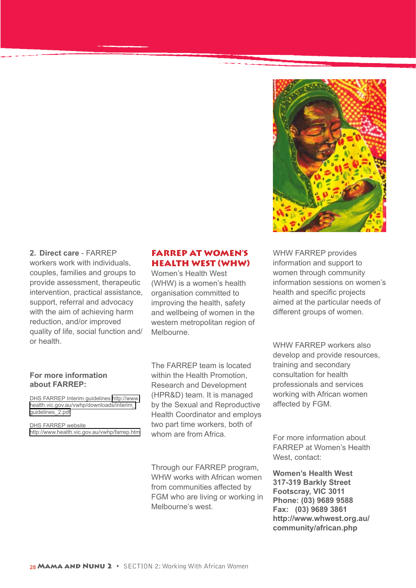

**2. Direct care** - FARREP workers work with individuals, couples, families and groups to provide assessment, therapeutic intervention, practical assistance, support, referral and advocacy with the aim of achieving harm reduction, and/or improved quality of life, social function and/ or health.

#### **For more information about FARREP:**

DHS FARREP Interim guidelines [http://www.](http://www.health.vic.gov.au/vwhp/downloads/interim_guidelines_2.pdf) [health.vic.gov.au/vwhp/downloads/interim\\_](http://www.health.vic.gov.au/vwhp/downloads/interim_guidelines_2.pdf) [guidelines\\_2.pdf](http://www.health.vic.gov.au/vwhp/downloads/interim_guidelines_2.pdf)

DHS FARREP website <http://www.health.vic.gov.au/vwhp/farrep.htm>

#### FARREP AT WOMEN'S HEALTH WEST (WHW)

Women's Health West (WHW) is a women's health organisation committed to improving the health, safety and wellbeing of women in the western metropolitan region of Melbourne.

The FARREP team is located within the Health Promotion, Research and Development (HPR&D) team. It is managed by the Sexual and Reproductive Health Coordinator and employs two part time workers, both of whom are from Africa.

Through our FARREP program, WHW works with African women from communities affected by FGM who are living or working in Melbourne's west.

WHW FARREP provides information and support to women through community information sessions on women's health and specific projects aimed at the particular needs of different groups of women.

WHW FARREP workers also develop and provide resources, training and secondary consultation for health professionals and services working with African women affected by FGM.

For more information about FARREP at Women's Health West, contact:

**Women's Health West 317-319 Barkly Street Footscray, VIC 3011 Phone: (03) 9689 9588 Fax: (03) 9689 3861 http://www.whwest.org.au/ community/african.php**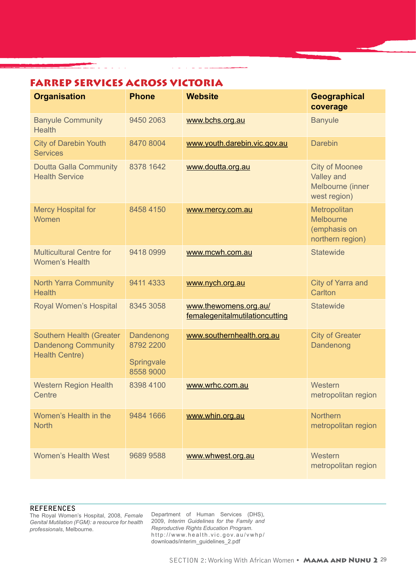# FARREP SERVICES ACROSS VICTORIA

an an a-mach<br>Bhaile an a-mach an a-mach an a-mach an a-mach an a-mach an a-mach an a-mach an a-mach an a-mach an a-mach an

| <b>Organisation</b>                                                             | <b>Phone</b>                                      | <b>Website</b>                                          | Geographical<br>coverage                                                |
|---------------------------------------------------------------------------------|---------------------------------------------------|---------------------------------------------------------|-------------------------------------------------------------------------|
| <b>Banyule Community</b><br><b>Health</b>                                       | 9450 2063                                         | www.bchs.org.au                                         | <b>Banyule</b>                                                          |
| <b>City of Darebin Youth</b><br><b>Services</b>                                 | 8470 8004                                         | www.youth.darebin.vic.gov.au                            | <b>Darebin</b>                                                          |
| <b>Doutta Galla Community</b><br><b>Health Service</b>                          | 8378 1642                                         | www.doutta.org.au                                       | <b>City of Moonee</b><br>Valley and<br>Melbourne (inner<br>west region) |
| <b>Mercy Hospital for</b><br>Women                                              | 8458 4150                                         | www.mercy.com.au                                        | Metropolitan<br>Melbourne<br>(emphasis on<br>northern region)           |
| <b>Multicultural Centre for</b><br><b>Women's Health</b>                        | 9418 0999                                         | www.mcwh.com.au                                         | <b>Statewide</b>                                                        |
| <b>North Yarra Community</b><br><b>Health</b>                                   | 9411 4333                                         | www.nych.org.au                                         | City of Yarra and<br>Carlton                                            |
| Royal Women's Hospital                                                          | 8345 3058                                         | www.thewomens.org.au/<br>femalegenitalmutilationcutting | <b>Statewide</b>                                                        |
| Southern Health (Greater<br><b>Dandenong Community</b><br><b>Health Centre)</b> | Dandenong<br>8792 2200<br>Springvale<br>8558 9000 | www.southernhealth.org.au                               | <b>City of Greater</b><br>Dandenong                                     |
| <b>Western Region Health</b><br>Centre                                          | 8398 4100                                         | www.wrhc.com.au                                         | Western<br>metropolitan region                                          |
| Women's Health in the<br><b>North</b>                                           | 9484 1666                                         | www.whin.org.au                                         | <b>Northern</b><br>metropolitan region                                  |
| <b>Women's Health West</b>                                                      | 9689 9588                                         | www.whwest.org.au                                       | Western<br>metropolitan region                                          |

 $\sim$ .

#### **REFERENCES**

The Royal Women's Hospital, 2008, *Female Genital Mutilation (FGM): a resource for health professionals*, Melbourne.

Department of Human Services (DHS), 2009, *Interim Guidelines for the Family and Reproductive Rights Education Program*. [http://www.health.vic.gov.au/vwhp/](http://www.health.vic.gov.au/vwhp/downloads/interim_guidelines_2.pdf) [downloads/interim\\_guidelines\\_2.pdf](http://www.health.vic.gov.au/vwhp/downloads/interim_guidelines_2.pdf)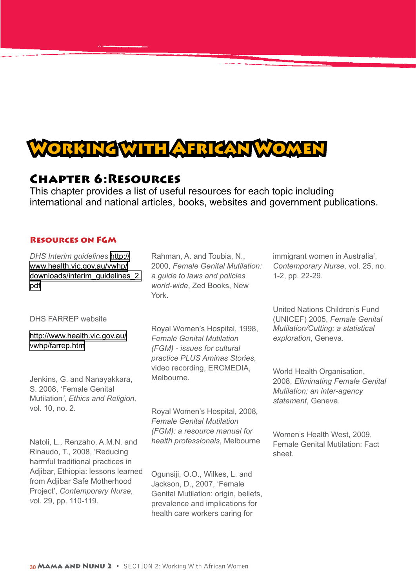

# Chapter 6:Resources

This chapter provides a list of useful resources for each topic including international and national articles, books, websites and government publications.

#### Resources on FGM

*DHS Interim guidelines* [http://](http://www.health.vic.gov.au/vwhp/downloads/interim_guidelines_2.pdf) [www.health.vic.gov.au/vwhp/](http://www.health.vic.gov.au/vwhp/downloads/interim_guidelines_2.pdf) [downloads/interim\\_guidelines\\_2.](http://www.health.vic.gov.au/vwhp/downloads/interim_guidelines_2.pdf) [pdf](http://www.health.vic.gov.au/vwhp/downloads/interim_guidelines_2.pdf)

DHS FARREP website

#### [http://www.health.vic.gov.au/](http://www.health.vic.gov.au/vwhp/farrep.htm) [vwhp/farrep.htm](http://www.health.vic.gov.au/vwhp/farrep.htm)

Jenkins, G. and Nanayakkara, S. 2008, 'Female Genital Mutilation*'*, *Ethics and Religion,*  vol. 10, no. 2.

Natoli, L., Renzaho, A.M.N. and Rinaudo, T., 2008, 'Reducing harmful traditional practices in Adiibar, Ethiopia: lessons learned from Adjibar Safe Motherhood Project', *Contemporary Nurse, v*ol. 29, pp. 110-119.

Rahman, A. and Toubia, N., 2000, *Female Genital Mutilation: a guide to laws and policies world-wide*, Zed Books, New York.

Royal Women's Hospital, 1998, *Female Genital Mutilation (FGM) - issues for cultural practice PLUS Aminas Stories*, video recording, ERCMEDIA, Melbourne.

Royal Women's Hospital, 2008*, Female Genital Mutilation (FGM): a resource manual for health professionals*, Melbourne

Ogunsiji, O.O., Wilkes, L. and Jackson, D., 2007, 'Female Genital Mutilation: origin, beliefs. prevalence and implications for health care workers caring for

immigrant women in Australia', *Contemporary Nurse*, vol. 25, no. 1-2, pp. 22-29.

United Nations Children's Fund (UNICEF) 2005, *Female Genital Mutilation/Cutting: a statistical exploration*, Geneva.

World Health Organisation, 2008, *Eliminating Female Genital Mutilation: an inter-agency statement*, Geneva.

Women's Health West, 2009, Female Genital Mutilation: Fact sheet.